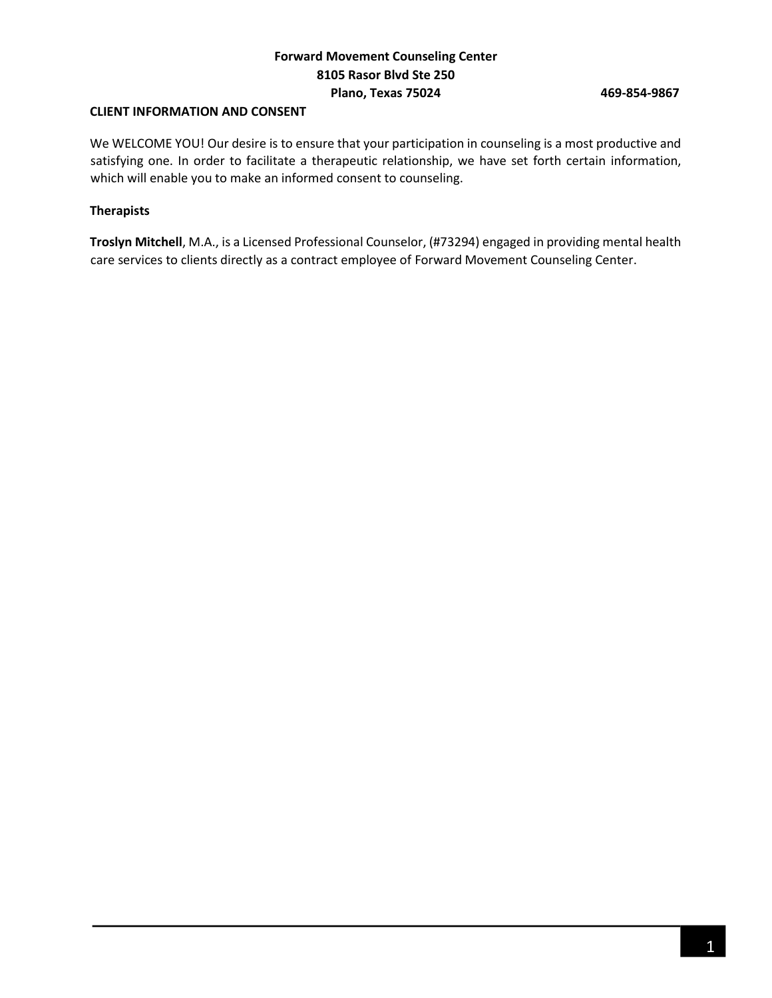# **CLIENT INFORMATION AND CONSENT**

We WELCOME YOU! Our desire is to ensure that your participation in counseling is a most productive and satisfying one. In order to facilitate a therapeutic relationship, we have set forth certain information, which will enable you to make an informed consent to counseling.

## **Therapists**

**Troslyn Mitchell**, M.A., is a Licensed Professional Counselor, (#73294) engaged in providing mental health care services to clients directly as a contract employee of Forward Movement Counseling Center.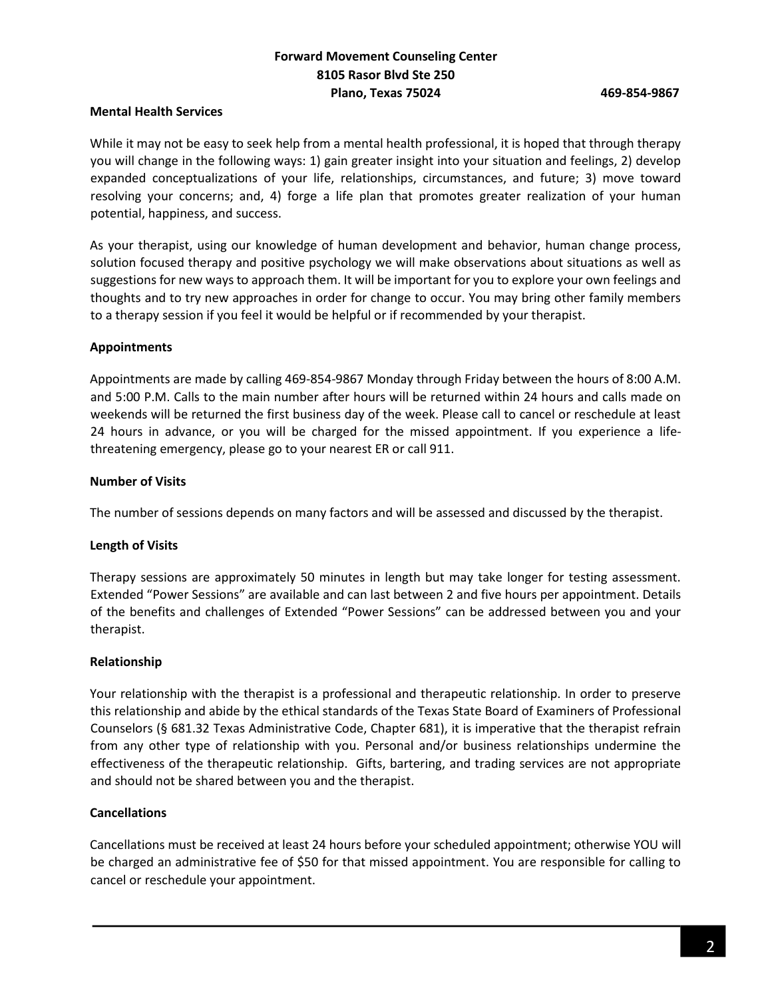## **Mental Health Services**

While it may not be easy to seek help from a mental health professional, it is hoped that through therapy you will change in the following ways: 1) gain greater insight into your situation and feelings, 2) develop expanded conceptualizations of your life, relationships, circumstances, and future; 3) move toward resolving your concerns; and, 4) forge a life plan that promotes greater realization of your human potential, happiness, and success.

As your therapist, using our knowledge of human development and behavior, human change process, solution focused therapy and positive psychology we will make observations about situations as well as suggestions for new ways to approach them. It will be important for you to explore your own feelings and thoughts and to try new approaches in order for change to occur. You may bring other family members to a therapy session if you feel it would be helpful or if recommended by your therapist.

## **Appointments**

Appointments are made by calling 469-854-9867 Monday through Friday between the hours of 8:00 A.M. and 5:00 P.M. Calls to the main number after hours will be returned within 24 hours and calls made on weekends will be returned the first business day of the week. Please call to cancel or reschedule at least 24 hours in advance, or you will be charged for the missed appointment. If you experience a lifethreatening emergency, please go to your nearest ER or call 911.

## **Number of Visits**

The number of sessions depends on many factors and will be assessed and discussed by the therapist.

### **Length of Visits**

Therapy sessions are approximately 50 minutes in length but may take longer for testing assessment. Extended "Power Sessions" are available and can last between 2 and five hours per appointment. Details of the benefits and challenges of Extended "Power Sessions" can be addressed between you and your therapist.

### **Relationship**

Your relationship with the therapist is a professional and therapeutic relationship. In order to preserve this relationship and abide by the ethical standards of the Texas State Board of Examiners of Professional Counselors (§ 681.32 Texas Administrative Code, Chapter 681), it is imperative that the therapist refrain from any other type of relationship with you. Personal and/or business relationships undermine the effectiveness of the therapeutic relationship. Gifts, bartering, and trading services are not appropriate and should not be shared between you and the therapist.

# **Cancellations**

Cancellations must be received at least 24 hours before your scheduled appointment; otherwise YOU will be charged an administrative fee of \$50 for that missed appointment. You are responsible for calling to cancel or reschedule your appointment.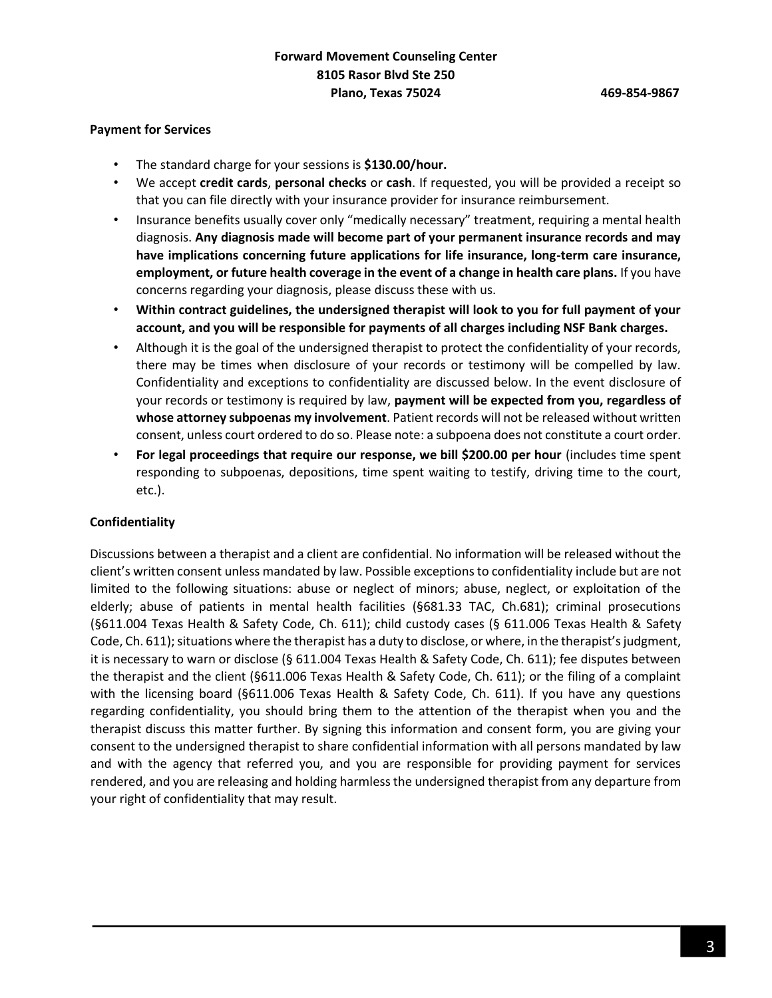#### **Payment for Services**

- The standard charge for your sessions is **\$130.00/hour.**
- We accept **credit cards**, **personal checks** or **cash**. If requested, you will be provided a receipt so that you can file directly with your insurance provider for insurance reimbursement.
- Insurance benefits usually cover only "medically necessary" treatment, requiring a mental health diagnosis. **Any diagnosis made will become part of your permanent insurance records and may have implications concerning future applications for life insurance, long-term care insurance, employment, or future health coverage in the event of a change in health care plans.** If you have concerns regarding your diagnosis, please discuss these with us.
- **Within contract guidelines, the undersigned therapist will look to you for full payment of your account, and you will be responsible for payments of all charges including NSF Bank charges.**
- Although it is the goal of the undersigned therapist to protect the confidentiality of your records, there may be times when disclosure of your records or testimony will be compelled by law. Confidentiality and exceptions to confidentiality are discussed below. In the event disclosure of your records or testimony is required by law, **payment will be expected from you, regardless of whose attorney subpoenas my involvement**. Patient records will not be released without written consent, unless court ordered to do so. Please note: a subpoena does not constitute a court order.
- **For legal proceedings that require our response, we bill \$200.00 per hour** (includes time spent responding to subpoenas, depositions, time spent waiting to testify, driving time to the court, etc.).

### **Confidentiality**

Discussions between a therapist and a client are confidential. No information will be released without the client's written consent unless mandated by law. Possible exceptions to confidentiality include but are not limited to the following situations: abuse or neglect of minors; abuse, neglect, or exploitation of the elderly; abuse of patients in mental health facilities (§681.33 TAC, Ch.681); criminal prosecutions (§611.004 Texas Health & Safety Code, Ch. 611); child custody cases (§ 611.006 Texas Health & Safety Code, Ch. 611); situations where the therapist has a duty to disclose, or where, in the therapist's judgment, it is necessary to warn or disclose (§ 611.004 Texas Health & Safety Code, Ch. 611); fee disputes between the therapist and the client (§611.006 Texas Health & Safety Code, Ch. 611); or the filing of a complaint with the licensing board (§611.006 Texas Health & Safety Code, Ch. 611). If you have any questions regarding confidentiality, you should bring them to the attention of the therapist when you and the therapist discuss this matter further. By signing this information and consent form, you are giving your consent to the undersigned therapist to share confidential information with all persons mandated by law and with the agency that referred you, and you are responsible for providing payment for services rendered, and you are releasing and holding harmless the undersigned therapist from any departure from your right of confidentiality that may result.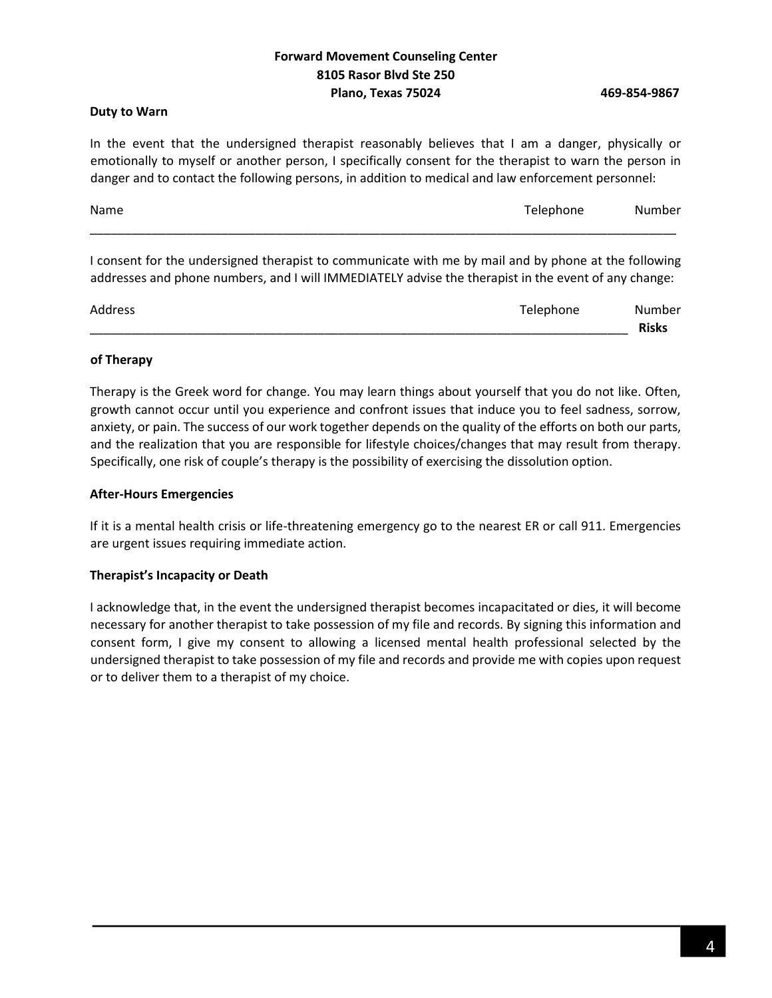### **Duty to Warn**

In the event that the undersigned therapist reasonably believes that I am a danger, physically or emotionally to myself or another person, I specifically consent for the therapist to warn the person in danger and to contact the following persons, in addition to medical and law enforcement personnel:

| Name | Telephone | Number |
|------|-----------|--------|
|      |           |        |

I consent for the undersigned therapist to communicate with me by mail and by phone at the following addresses and phone numbers, and I will IMMEDIATELY advise the therapist in the event of any change:

| Address | Telephone | Number |
|---------|-----------|--------|
|         |           | Risks  |

## **of Therapy**

Therapy is the Greek word for change. You may learn things about yourself that you do not like. Often, growth cannot occur until you experience and confront issues that induce you to feel sadness, sorrow, anxiety, or pain. The success of our work together depends on the quality of the efforts on both our parts, and the realization that you are responsible for lifestyle choices/changes that may result from therapy. Specifically, one risk of couple's therapy is the possibility of exercising the dissolution option.

## **After-Hours Emergencies**

If it is a mental health crisis or life-threatening emergency go to the nearest ER or call 911. Emergencies are urgent issues requiring immediate action.

# **Therapist's Incapacity or Death**

I acknowledge that, in the event the undersigned therapist becomes incapacitated or dies, it will become necessary for another therapist to take possession of my file and records. By signing this information and consent form, I give my consent to allowing a licensed mental health professional selected by the undersigned therapist to take possession of my file and records and provide me with copies upon request or to deliver them to a therapist of my choice.